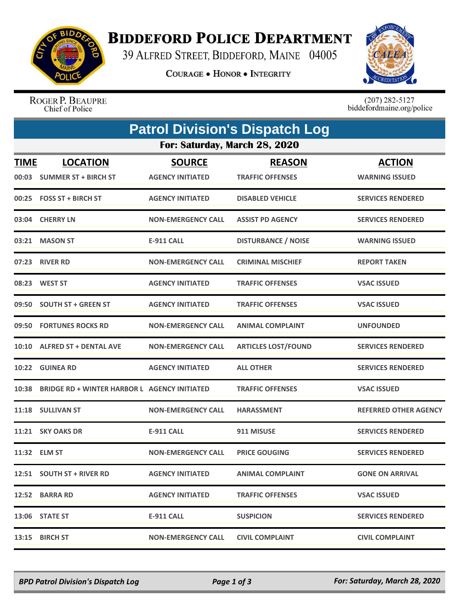

## **BIDDEFORD POLICE DEPARTMENT**

39 ALFRED STREET, BIDDEFORD, MAINE 04005

**COURAGE . HONOR . INTEGRITY** 



ROGER P. BEAUPRE Chief of Police

 $(207)$  282-5127<br>biddefordmaine.org/police

| <b>Patrol Division's Dispatch Log</b> |                                                     |                                          |                                          |                                        |  |  |  |  |
|---------------------------------------|-----------------------------------------------------|------------------------------------------|------------------------------------------|----------------------------------------|--|--|--|--|
| For: Saturday, March 28, 2020         |                                                     |                                          |                                          |                                        |  |  |  |  |
| <u>TIME</u>                           | <b>LOCATION</b><br>00:03 SUMMER ST + BIRCH ST       | <b>SOURCE</b><br><b>AGENCY INITIATED</b> | <b>REASON</b><br><b>TRAFFIC OFFENSES</b> | <b>ACTION</b><br><b>WARNING ISSUED</b> |  |  |  |  |
|                                       | 00:25 FOSS ST + BIRCH ST                            | <b>AGENCY INITIATED</b>                  | <b>DISABLED VEHICLE</b>                  | <b>SERVICES RENDERED</b>               |  |  |  |  |
|                                       | 03:04 CHERRY LN                                     | <b>NON-EMERGENCY CALL</b>                | <b>ASSIST PD AGENCY</b>                  | <b>SERVICES RENDERED</b>               |  |  |  |  |
|                                       | 03:21 MASON ST                                      | <b>E-911 CALL</b>                        | <b>DISTURBANCE / NOISE</b>               | <b>WARNING ISSUED</b>                  |  |  |  |  |
|                                       | 07:23 RIVER RD                                      | <b>NON-EMERGENCY CALL</b>                | <b>CRIMINAL MISCHIEF</b>                 | <b>REPORT TAKEN</b>                    |  |  |  |  |
|                                       | 08:23 WEST ST                                       | <b>AGENCY INITIATED</b>                  | <b>TRAFFIC OFFENSES</b>                  | <b>VSAC ISSUED</b>                     |  |  |  |  |
|                                       | 09:50 SOUTH ST + GREEN ST                           | <b>AGENCY INITIATED</b>                  | <b>TRAFFIC OFFENSES</b>                  | <b>VSAC ISSUED</b>                     |  |  |  |  |
| 09:50                                 | <b>FORTUNES ROCKS RD</b>                            | <b>NON-EMERGENCY CALL</b>                | <b>ANIMAL COMPLAINT</b>                  | <b>UNFOUNDED</b>                       |  |  |  |  |
|                                       | 10:10 ALFRED ST + DENTAL AVE                        | NON-EMERGENCY CALL                       | <b>ARTICLES LOST/FOUND</b>               | <b>SERVICES RENDERED</b>               |  |  |  |  |
|                                       | 10:22 GUINEA RD                                     | <b>AGENCY INITIATED</b>                  | <b>ALL OTHER</b>                         | <b>SERVICES RENDERED</b>               |  |  |  |  |
| 10:38                                 | <b>BRIDGE RD + WINTER HARBOR L AGENCY INITIATED</b> |                                          | <b>TRAFFIC OFFENSES</b>                  | <b>VSAC ISSUED</b>                     |  |  |  |  |
|                                       | 11:18 SULLIVAN ST                                   | <b>NON-EMERGENCY CALL</b>                | <b>HARASSMENT</b>                        | <b>REFERRED OTHER AGENCY</b>           |  |  |  |  |
| 11:21                                 | <b>SKY OAKS DR</b>                                  | <b>E-911 CALL</b>                        | 911 MISUSE                               | <b>SERVICES RENDERED</b>               |  |  |  |  |
|                                       | 11:32 ELM ST                                        | <b>NON-EMERGENCY CALL</b>                | <b>PRICE GOUGING</b>                     | <b>SERVICES RENDERED</b>               |  |  |  |  |
|                                       | 12:51 SOUTH ST + RIVER RD                           | <b>AGENCY INITIATED</b>                  | <b>ANIMAL COMPLAINT</b>                  | <b>GONE ON ARRIVAL</b>                 |  |  |  |  |
|                                       | 12:52 BARRA RD                                      | <b>AGENCY INITIATED</b>                  | <b>TRAFFIC OFFENSES</b>                  | <b>VSAC ISSUED</b>                     |  |  |  |  |
|                                       | 13:06 STATE ST                                      | E-911 CALL                               | <b>SUSPICION</b>                         | <b>SERVICES RENDERED</b>               |  |  |  |  |
|                                       | 13:15 BIRCH ST                                      | <b>NON-EMERGENCY CALL</b>                | <b>CIVIL COMPLAINT</b>                   | <b>CIVIL COMPLAINT</b>                 |  |  |  |  |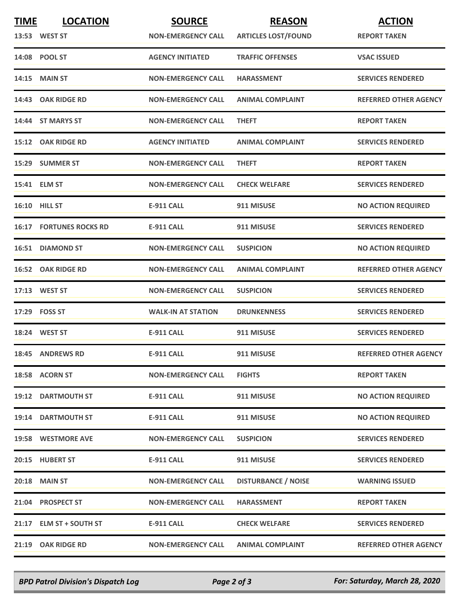| <b>TIME</b> | <b>LOCATION</b>                | <b>SOURCE</b>             | <b>REASON</b>              | <b>ACTION</b>                |
|-------------|--------------------------------|---------------------------|----------------------------|------------------------------|
|             | 13:53 WEST ST                  | <b>NON-EMERGENCY CALL</b> | <b>ARTICLES LOST/FOUND</b> | <b>REPORT TAKEN</b>          |
|             | 14:08 POOL ST                  | <b>AGENCY INITIATED</b>   | <b>TRAFFIC OFFENSES</b>    | <b>VSAC ISSUED</b>           |
|             | 14:15 MAIN ST                  | <b>NON-EMERGENCY CALL</b> | <b>HARASSMENT</b>          | <b>SERVICES RENDERED</b>     |
|             | 14:43 OAK RIDGE RD             | <b>NON-EMERGENCY CALL</b> | <b>ANIMAL COMPLAINT</b>    | <b>REFERRED OTHER AGENCY</b> |
|             | 14:44 ST MARYS ST              | <b>NON-EMERGENCY CALL</b> | <b>THEFT</b>               | <b>REPORT TAKEN</b>          |
|             | 15:12 OAK RIDGE RD             | <b>AGENCY INITIATED</b>   | <b>ANIMAL COMPLAINT</b>    | <b>SERVICES RENDERED</b>     |
|             | 15:29 SUMMER ST                | <b>NON-EMERGENCY CALL</b> | <b>THEFT</b>               | <b>REPORT TAKEN</b>          |
|             | 15:41 ELM ST                   | <b>NON-EMERGENCY CALL</b> | <b>CHECK WELFARE</b>       | <b>SERVICES RENDERED</b>     |
|             | <b>16:10 HILL ST</b>           | <b>E-911 CALL</b>         | 911 MISUSE                 | <b>NO ACTION REQUIRED</b>    |
|             | <b>16:17 FORTUNES ROCKS RD</b> | <b>E-911 CALL</b>         | 911 MISUSE                 | <b>SERVICES RENDERED</b>     |
|             | 16:51 DIAMOND ST               | <b>NON-EMERGENCY CALL</b> | <b>SUSPICION</b>           | <b>NO ACTION REQUIRED</b>    |
|             | <b>16:52 OAK RIDGE RD</b>      | <b>NON-EMERGENCY CALL</b> | <b>ANIMAL COMPLAINT</b>    | <b>REFERRED OTHER AGENCY</b> |
|             | 17:13 WEST ST                  | <b>NON-EMERGENCY CALL</b> | <b>SUSPICION</b>           | <b>SERVICES RENDERED</b>     |
|             | 17:29    FOSS ST               | <b>WALK-IN AT STATION</b> | <b>DRUNKENNESS</b>         | <b>SERVICES RENDERED</b>     |
|             | 18:24 WEST ST                  | <b>E-911 CALL</b>         | 911 MISUSE                 | <b>SERVICES RENDERED</b>     |
|             | <b>18:45 ANDREWS RD</b>        | <b>E-911 CALL</b>         | 911 MISUSE                 | <b>REFERRED OTHER AGENCY</b> |
|             | 18:58 ACORN ST                 | <b>NON-EMERGENCY CALL</b> | <b>FIGHTS</b>              | <b>REPORT TAKEN</b>          |
|             | <b>19:12 DARTMOUTH ST</b>      | E-911 CALL                | 911 MISUSE                 | <b>NO ACTION REQUIRED</b>    |
|             | <b>19:14 DARTMOUTH ST</b>      | <b>E-911 CALL</b>         | 911 MISUSE                 | <b>NO ACTION REQUIRED</b>    |
|             | 19:58 WESTMORE AVE             | <b>NON-EMERGENCY CALL</b> | <b>SUSPICION</b>           | <b>SERVICES RENDERED</b>     |
|             | 20:15 HUBERT ST                | <b>E-911 CALL</b>         | 911 MISUSE                 | <b>SERVICES RENDERED</b>     |
|             | 20:18 MAIN ST                  | <b>NON-EMERGENCY CALL</b> | <b>DISTURBANCE / NOISE</b> | <b>WARNING ISSUED</b>        |
|             | 21:04 PROSPECT ST              | <b>NON-EMERGENCY CALL</b> | <b>HARASSMENT</b>          | <b>REPORT TAKEN</b>          |
|             | 21:17 ELM ST + SOUTH ST        | <b>E-911 CALL</b>         | <b>CHECK WELFARE</b>       | <b>SERVICES RENDERED</b>     |
|             | 21:19 OAK RIDGE RD             | <b>NON-EMERGENCY CALL</b> | <b>ANIMAL COMPLAINT</b>    | <b>REFERRED OTHER AGENCY</b> |

*BPD Patrol Division's Dispatch Log Page 2 of 3 For: Saturday, March 28, 2020*